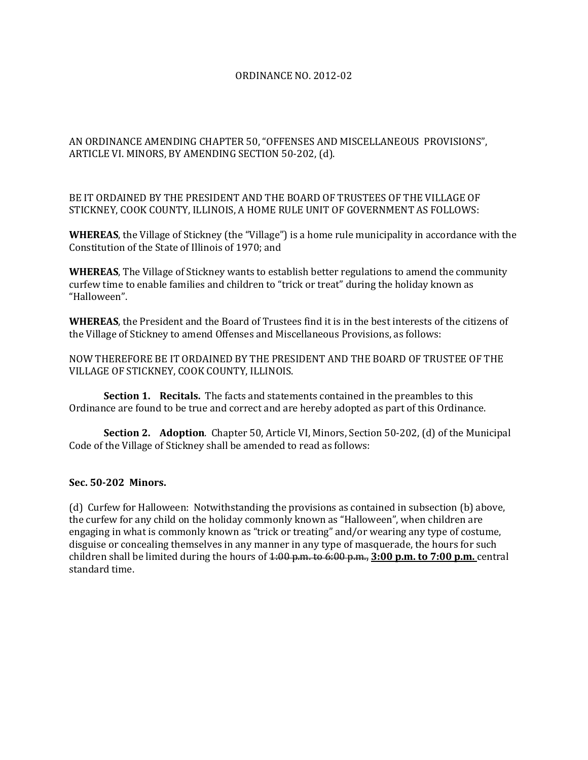## ORDINANCE NO. 2012-02

AN ORDINANCE AMENDING CHAPTER 50, "OFFENSES AND MISCELLANEOUS PROVISIONS", ARTICLE VI. MINORS, BY AMENDING SECTION 50-202, (d).

BE IT ORDAINED BY THE PRESIDENT AND THE BOARD OF TRUSTEES OF THE VILLAGE OF STICKNEY, COOK COUNTY, ILLINOIS, A HOME RULE UNIT OF GOVERNMENT AS FOLLOWS:

**WHEREAS**, the Village of Stickney (the "Village") is a home rule municipality in accordance with the Constitution of the State of Illinois of 1970; and

**WHEREAS**, The Village of Stickney wants to establish better regulations to amend the community curfew time to enable families and children to "trick or treat" during the holiday known as "Halloween".

**WHEREAS**, the President and the Board of Trustees find it is in the best interests of the citizens of the Village of Stickney to amend Offenses and Miscellaneous Provisions, as follows:

NOW THEREFORE BE IT ORDAINED BY THE PRESIDENT AND THE BOARD OF TRUSTEE OF THE VILLAGE OF STICKNEY, COOK COUNTY, ILLINOIS.

**Section 1. Recitals.** The facts and statements contained in the preambles to this Ordinance are found to be true and correct and are hereby adopted as part of this Ordinance.

**Section 2. Adoption**. Chapter 50, Article VI, Minors, Section 50-202, (d) of the Municipal Code of the Village of Stickney shall be amended to read as follows:

## **Sec. 50-202 Minors.**

(d) Curfew for Halloween: Notwithstanding the provisions as contained in subsection (b) above, the curfew for any child on the holiday commonly known as "Halloween", when children are engaging in what is commonly known as "trick or treating" and/or wearing any type of costume, disguise or concealing themselves in any manner in any type of masquerade, the hours for such children shall be limited during the hours of 1:00 p.m. to 6:00 p.m., **3:00 p.m. to 7:00 p.m.** central standard time.